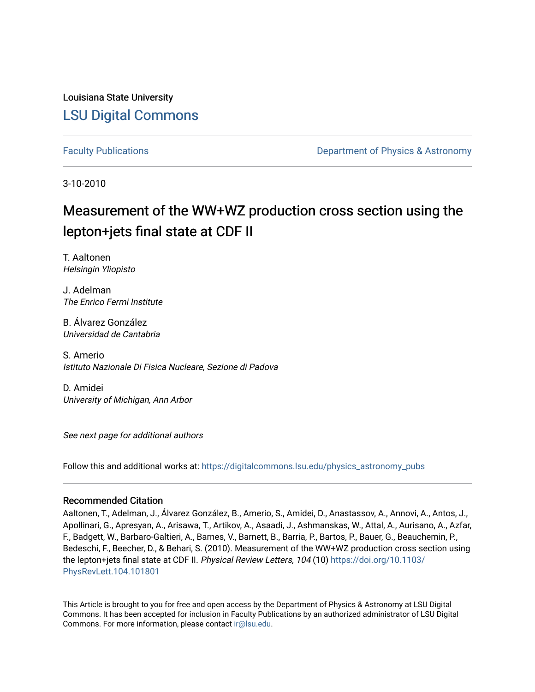Louisiana State University [LSU Digital Commons](https://digitalcommons.lsu.edu/)

[Faculty Publications](https://digitalcommons.lsu.edu/physics_astronomy_pubs) **Example 2** Constant Department of Physics & Astronomy

3-10-2010

## Measurement of the WW+WZ production cross section using the lepton+jets final state at CDF II

T. Aaltonen Helsingin Yliopisto

J. Adelman The Enrico Fermi Institute

B. Álvarez González Universidad de Cantabria

S. Amerio Istituto Nazionale Di Fisica Nucleare, Sezione di Padova

D. Amidei University of Michigan, Ann Arbor

See next page for additional authors

Follow this and additional works at: [https://digitalcommons.lsu.edu/physics\\_astronomy\\_pubs](https://digitalcommons.lsu.edu/physics_astronomy_pubs?utm_source=digitalcommons.lsu.edu%2Fphysics_astronomy_pubs%2F2414&utm_medium=PDF&utm_campaign=PDFCoverPages) 

#### Recommended Citation

Aaltonen, T., Adelman, J., Álvarez González, B., Amerio, S., Amidei, D., Anastassov, A., Annovi, A., Antos, J., Apollinari, G., Apresyan, A., Arisawa, T., Artikov, A., Asaadi, J., Ashmanskas, W., Attal, A., Aurisano, A., Azfar, F., Badgett, W., Barbaro-Galtieri, A., Barnes, V., Barnett, B., Barria, P., Bartos, P., Bauer, G., Beauchemin, P., Bedeschi, F., Beecher, D., & Behari, S. (2010). Measurement of the WW+WZ production cross section using the lepton+jets final state at CDF II. Physical Review Letters, 104 (10) [https://doi.org/10.1103/](https://doi.org/10.1103/PhysRevLett.104.101801) [PhysRevLett.104.101801](https://doi.org/10.1103/PhysRevLett.104.101801) 

This Article is brought to you for free and open access by the Department of Physics & Astronomy at LSU Digital Commons. It has been accepted for inclusion in Faculty Publications by an authorized administrator of LSU Digital Commons. For more information, please contact [ir@lsu.edu](mailto:ir@lsu.edu).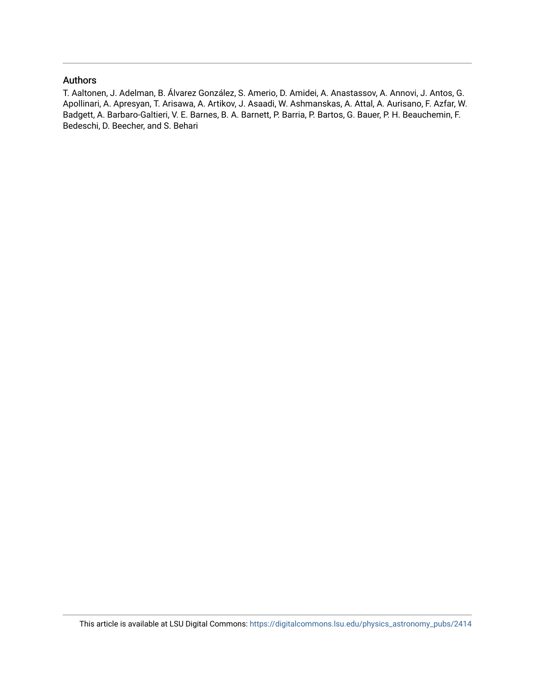### Authors

T. Aaltonen, J. Adelman, B. Álvarez González, S. Amerio, D. Amidei, A. Anastassov, A. Annovi, J. Antos, G. Apollinari, A. Apresyan, T. Arisawa, A. Artikov, J. Asaadi, W. Ashmanskas, A. Attal, A. Aurisano, F. Azfar, W. Badgett, A. Barbaro-Galtieri, V. E. Barnes, B. A. Barnett, P. Barria, P. Bartos, G. Bauer, P. H. Beauchemin, F. Bedeschi, D. Beecher, and S. Behari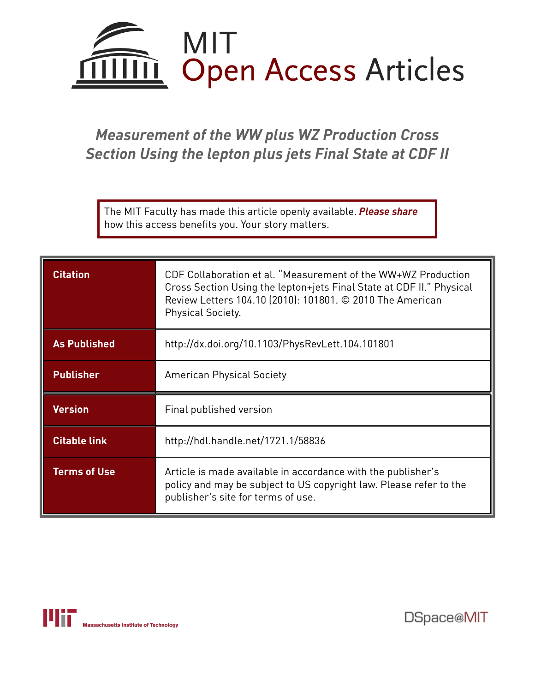

# *Measurement of the WW plus WZ Production Cross Section Using the lepton plus jets Final State at CDF II*

The MIT Faculty has made this article openly available. *[Please](https://libraries.mit.edu/forms/dspace-oa-articles.html) share* how this access benefits you. Your story matters.

| <b>Citation</b>     | CDF Collaboration et al. "Measurement of the WW+WZ Production<br>Cross Section Using the lepton+jets Final State at CDF II." Physical<br>Review Letters 104.10 (2010): 101801. © 2010 The American<br><b>Physical Society.</b> |  |
|---------------------|--------------------------------------------------------------------------------------------------------------------------------------------------------------------------------------------------------------------------------|--|
| <b>As Published</b> | http://dx.doi.org/10.1103/PhysRevLett.104.101801                                                                                                                                                                               |  |
| <b>Publisher</b>    | <b>American Physical Society</b>                                                                                                                                                                                               |  |
| <b>Version</b>      | Final published version                                                                                                                                                                                                        |  |
| <b>Citable link</b> | http://hdl.handle.net/1721.1/58836                                                                                                                                                                                             |  |
| <b>Terms of Use</b> | Article is made available in accordance with the publisher's<br>policy and may be subject to US copyright law. Please refer to the<br>publisher's site for terms of use.                                                       |  |



DSpace@MIT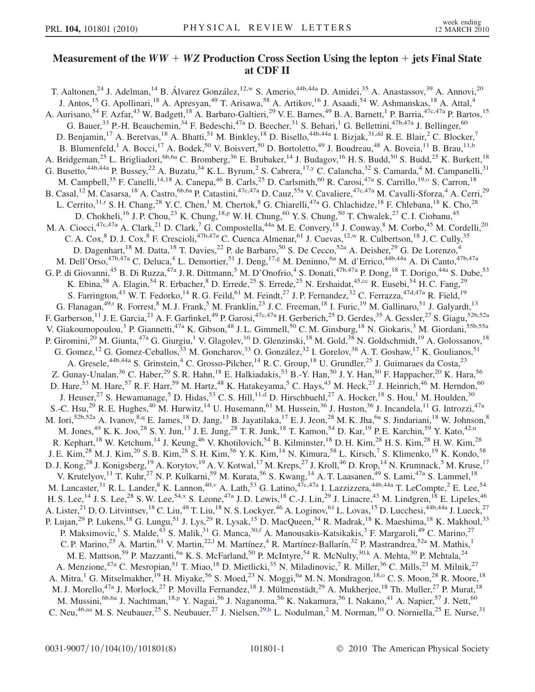## Measurement of the  $WW + WZ$  Production Cross Section Using the lepton  $+$  jets Final State at CDF II

<span id="page-3-18"></span><span id="page-3-17"></span><span id="page-3-16"></span><span id="page-3-15"></span><span id="page-3-14"></span><span id="page-3-13"></span><span id="page-3-12"></span><span id="page-3-11"></span><span id="page-3-10"></span><span id="page-3-9"></span><span id="page-3-8"></span><span id="page-3-7"></span><span id="page-3-6"></span><span id="page-3-5"></span><span id="page-3-4"></span><span id="page-3-3"></span><span id="page-3-2"></span><span id="page-3-1"></span><span id="page-3-0"></span>T. Aaltonen,<sup>24</sup> J. Adelman,<sup>14</sup> B. Álvarez González,<sup>12[,w](#page-9-0)</sup> S. Amerio,<sup>44b,44a</sup> D. Amidei,<sup>35</sup> A. Anastassov,<sup>39</sup> A. Annovi,<sup>20</sup> J. Antos,<sup>15</sup> G. Apollinari,<sup>18</sup> A. Apresyan,<sup>49</sup> T. Arisawa,<sup>58</sup> A. Artikov,<sup>16</sup> J. Asaadi,<sup>54</sup> W. Ashmanskas,<sup>18</sup> A. Attal,<sup>4</sup> A. Aurisano,<sup>54</sup> F. Azfar,<sup>43</sup> W. Badgett,<sup>18</sup> A. Barbaro-Galtieri,<sup>29</sup> V. E. Barnes,<sup>49</sup> B. A. Barnett,<sup>1</sup> P. Barria,<sup>47c,47a</sup> P. Bartos,<sup>15</sup> G. Bauer,  $33$  P.-H. Beauchemin,  $34$  F. Bedeschi,  $47a$  D. Beecher,  $31$  S. Behari,  $1$  G. Bellettini,  $47b,47a$  J. Bellinger,  $60$ D. Benjamin,<sup>17</sup> A. Beretvas,<sup>18</sup> A. Bhatti,<sup>51</sup> M. Binkley,<sup>18</sup> D. Bisello,<sup>44b,44a</sup> I. Bizjak,<sup>31,[dd](#page-9-1)</sup> R. E. Blair,<sup>2</sup> C. Blocker,<sup>7</sup> B. Blumenfeld,<sup>1</sup> A. Bocci,<sup>17</sup> A. Bodek,<sup>50</sup> V. Boisvert,<sup>50</sup> D. Bortoletto,<sup>49</sup> J. Boudreau,<sup>48</sup> A. Boveia,<sup>11</sup> B. Brau,<sup>11[,b](#page-9-2)</sup> A. Bridgeman,<sup>25</sup> L. Brigliadori,<sup>6b,6a</sup> C. Bromberg,<sup>36</sup> E. Brubaker,<sup>14</sup> J. Budagov,<sup>16</sup> H. S. Budd,<sup>50</sup> S. Budd,<sup>25</sup> K. Burkett,<sup>18</sup> G. Busetto,<sup>44b,44a</sup> P. Busse[y](#page-9-3),<sup>22</sup> A. Buzatu,<sup>34</sup> K. L. Byrum,<sup>2</sup> S. Cabrera,<sup>17,y</sup> C. Calancha,<sup>32</sup> S. Camarda,<sup>4</sup> M. Campanelli,<sup>31</sup> M. Campbell,<sup>35</sup> F. Canelli,<sup>14,18</sup> A. Canepa,<sup>46</sup> B. Carls,<sup>25</sup> D. Carlsmith,<sup>60</sup> R. Car[o](#page-9-4)si,<sup>47a</sup> S. Carrillo,<sup>19,0</sup> S. Carron,<sup>18</sup> B. Casal,<sup>12</sup> M. Casarsa,<sup>18</sup> A. Castro,<sup>6b,6a</sup> P. Catastini,<sup>47c,47a</sup> D. Cauz,<sup>55a</sup> V. Cavaliere,<sup>47c,47a</sup> M. Cavalli-Sforza,<sup>4</sup> A. Cerri,<sup>29</sup> L. Ce[r](#page-9-5)rito,  $31,r$  S. H. Chang,  $28$  Y. C. Chen, <sup>1</sup> M. Chertok, <sup>8</sup> G. Chiarelli,  $47a$  G. Chlachidze,  $18$  F. Chlebana,  $18$  K. Cho,  $28$ D. Chokheli,<sup>16</sup> J. P. Chou,<sup>23</sup> K. Chung,<sup>18[,p](#page-9-6)</sup> W. H. Chung,<sup>60</sup> Y. S. Chung,<sup>50</sup> T. Chwalek,<sup>27</sup> C. I. Ciobanu,<sup>45</sup> M. A. Ciocci,<sup>47c,47a</sup> A. Clark,<sup>21</sup> D. Clark,<sup>7</sup> G. Compostella,<sup>44a</sup> M. E. Convery,<sup>18</sup> J. Conway,<sup>8</sup> M. Corbo,<sup>45</sup> M. Cordelli,<sup>20</sup> C. A. Cox,  $8$  D. J. Cox,  $8$  F. Crescioli,  $47b,47a$  C. Cuenca Almenar,  $61$  J. Cuevas,  $12,w$  $12,w$  R. Culbertson,  $18$  J. C. Cully,  $35$ D. Dagenhart,<sup>18</sup> M. Datta,<sup>18</sup> T. Davies,<sup>22</sup> P. de Barbaro,<sup>50</sup> S. De Cecco,<sup>52a</sup> A. Deisher,<sup>29</sup> G. De Lorenzo,<sup>4</sup> M. Dell'Orso,<sup>47b,47a</sup> C. Deluca,<sup>4</sup> L. Demortier,<sup>51</sup> J. Den[g](#page-9-7),<sup>17,g</sup> M. Deninno,<sup>6a</sup> M. d'Errico,<sup>44b,44a</sup> A. Di Canto,<sup>47b,47a</sup> G. P. di Giovanni,<sup>45</sup> B. Di Ruzza,<sup>47a</sup> J. R. Dittmann,<sup>5</sup> M. D'Onofrio,<sup>4</sup> S. Donati,<sup>47b,47a</sup> P. Dong,<sup>18</sup> T. Dorigo,<sup>44a</sup> S. Dube,<sup>53</sup> K. Ebina,<sup>58</sup> A. Elagin,<sup>54</sup> R. Erbacher,<sup>8</sup> D. Errede,<sup>25</sup> S. Errede,<sup>25</sup> N. Ershaidat,<sup>45,[cc](#page-9-8)</sup> R. Eusebi,<sup>54</sup> H. C. Fang,<sup>29</sup> S. Farrington,<sup>43</sup> W. T. Fedorko,<sup>14</sup> R. G. Feild,<sup>61</sup> M. Feindt,<sup>27</sup> J. P. Fernandez,<sup>32</sup> C. Ferrazza,<sup>47d,47a</sup> R. Field,<sup>19</sup> G. Flanagan,<sup>49,[t](#page-9-9)</sup> R. Forrest,<sup>8</sup> M. J. Frank,<sup>5</sup> M. Franklin,<sup>23</sup> J. C. Freeman,<sup>18</sup> I. Furic,<sup>19</sup> M. Gallinaro,<sup>51</sup> J. Galyardt,<sup>13</sup> F. Garberson,<sup>11</sup> J. E. Garcia,<sup>21</sup> A. F. Garfinkel,<sup>49</sup> P. Garosi,<sup>47c,47a</sup> H. Gerberich,<sup>25</sup> D. Gerdes,<sup>35</sup> A. Gessler,<sup>27</sup> S. Giagu,<sup>52b,52a</sup> V. Giakoumopoulou,<sup>3</sup> P. Giannetti,<sup>47a</sup> K. Gibson,<sup>48</sup> J.L. Gimmell,<sup>50</sup> C.M. Ginsburg,<sup>18</sup> N. Giokaris,<sup>3</sup> M. Giordani,<sup>55b,55a</sup> P. Giromini,<sup>20</sup> M. Giunta,<sup>47a</sup> G. Giurgiu,<sup>1</sup> V. Glagolev,<sup>16</sup> D. Glenzinski,<sup>18</sup> M. Gold,<sup>38</sup> N. Goldschmidt,<sup>19</sup> A. Golossanov,<sup>18</sup> G. Gomez,<sup>12</sup> G. Gomez-Ceballos,<sup>33</sup> M. Goncharov,<sup>33</sup> O. González,<sup>32</sup> I. Gorelov,<sup>38</sup> A. T. Goshaw,<sup>17</sup> K. Goulianos,<sup>51</sup> A. Gresele,<sup>44b,44a</sup> S. Grinstein,<sup>4</sup> C. Grosso-Pilcher,<sup>14</sup> R. C. Group,<sup>18</sup> U. Grundler,<sup>25</sup> J. Guimaraes da Costa,<sup>23</sup> Z. Gunay-Unalan,<sup>36</sup> C. Haber,<sup>29</sup> S. R. Hahn,<sup>18</sup> E. Halkiadakis,<sup>53</sup> B.-Y. Han,<sup>50</sup> J. Y. Han,<sup>50</sup> F. Happacher,<sup>20</sup> K. Hara,<sup>56</sup> D. Hare,<sup>53</sup> M. Hare,<sup>57</sup> R. F. Harr,<sup>59</sup> M. Hartz,<sup>48</sup> K. Hatakeyama,<sup>5</sup> C. Hays,<sup>43</sup> M. Heck,<sup>27</sup> J. Heinrich,<sup>46</sup> M. Herndon,<sup>60</sup> J. Heuser,<sup>27</sup> S. Hewamanage,<sup>5</sup> D. Hidas,<sup>53</sup> C. S. Hill,<sup>11[,d](#page-9-10)</sup> D. Hirschbuehl,<sup>27</sup> A. Hocker,<sup>18</sup> S. Hou,<sup>1</sup> M. Houlden,<sup>30</sup> S.-C. Hsu,<sup>29</sup> R. E. Hughes,<sup>40</sup> M. Hurwitz,<sup>14</sup> U. Husemann,<sup>61</sup> M. Hussein,<sup>36</sup> J. Huston,<sup>36</sup> J. Incandela,<sup>11</sup> G. Introzzi,<sup>47a</sup> M. Iori,<sup>52b,52a</sup> A. Ivanov,<sup>8,[q](#page-9-11)</sup> E. James,<sup>18</sup> D. Jang,<sup>13</sup> B. Jayatilaka,<sup>17</sup> E. J. Jeon,<sup>28</sup> M. K. Jha,<sup>6a</sup> S. Jindariani,<sup>18</sup> W. Johnson,<sup>8</sup> M. Jones,<sup>49</sup> K. K. Joo,<sup>28</sup> S. Y. Jun,<sup>13</sup> J. E. Jung,<sup>28</sup> T. R. Junk,<sup>18</sup> T. Kamon,<sup>54</sup> D. Kar,<sup>19</sup> P. E. Karchin,<sup>59</sup> Y. Kato,<sup>42[,n](#page-9-12)</sup> R. Kephart,<sup>18</sup> W. Ketchum,<sup>14</sup> J. Keung,<sup>46</sup> V. Khotilovich,<sup>54</sup> B. Kilminster,<sup>18</sup> D. H. Kim,<sup>28</sup> H. S. Kim,<sup>28</sup> H. W. Kim,<sup>28</sup> J. E. Kim,<sup>28</sup> M. J. Kim,<sup>20</sup> S. B. Kim,<sup>28</sup> S. H. Kim,<sup>56</sup> Y. K. Kim,<sup>14</sup> N. Kimura,<sup>58</sup> L. Kirsch,<sup>7</sup> S. Klimenko,<sup>19</sup> K. Kondo,<sup>58</sup> D. J. Kong,<sup>28</sup> J. Konigsberg,<sup>19</sup> A. Korytov,<sup>19</sup> A. V. Kotwal,<sup>17</sup> M. Kreps,<sup>27</sup> J. Kroll,<sup>46</sup> D. Krop,<sup>14</sup> N. Krumnack,<sup>5</sup> M. Kruse,<sup>17</sup> V. Krutelyov,<sup>11</sup> T. Kuhr,<sup>27</sup> N. P. Kulkarni,<sup>59</sup> M. Kurata,<sup>56</sup> S. Kwang,<sup>14</sup> A. T. Laasanen,<sup>49</sup> S. Lami,<sup>47a</sup> S. Lammel,<sup>18</sup> M. Lancaster,<sup>31</sup> R. L. Lander,<sup>8</sup> K. Lannon,<sup>40[,v](#page-9-13)</sup> A. Lath,<sup>53</sup> G. Latino,<sup>47c,47a</sup> I. Lazzizzera,<sup>44b,44a</sup> T. LeCompte,<sup>2</sup> E. Lee,<sup>54</sup> H. S. Lee,<sup>14</sup> J. S. Lee,<sup>28</sup> S. W. Lee,<sup>54[,x](#page-9-14)</sup> S. Leone,<sup>47a</sup> J. D. Lewis,<sup>18</sup> C.-J. Lin,<sup>29</sup> J. Linacre,<sup>43</sup> M. Lindgren,<sup>18</sup> E. Lipeles,<sup>46</sup> A. Lister,<sup>21</sup> D. O. Litvintsev,<sup>18</sup> C. Liu,<sup>48</sup> T. Liu,<sup>18</sup> N. S. Lockyer,<sup>46</sup> A. Loginov,<sup>61</sup> L. Lovas,<sup>15</sup> D. Lucchesi,<sup>44b,44a</sup> J. Lueck,<sup>27</sup> P. Lujan,<sup>29</sup> P. Lukens,<sup>18</sup> G. Lungu,<sup>51</sup> J. Lys,<sup>29</sup> R. Lysak,<sup>15</sup> D. MacQueen,<sup>34</sup> R. Madrak,<sup>18</sup> K. Maeshima,<sup>18</sup> K. Makhoul,<sup>33</sup> P. Maksimovic,<sup>1</sup> S. Malde,<sup>43</sup> S. Malik,<sup>31</sup> G. Manca,<sup>30,[f](#page-9-15)</sup> A. Manousakis-Katsikakis,<sup>3</sup> F. Margaroli,<sup>49</sup> C. Marino,<sup>27</sup> C. P. Marino,<sup>25</sup> A. Martin,<sup>61</sup> V. Martin,<sup>22,1</sup> M. Martínez,<sup>4</sup> R. Martínez-Ballarín,<sup>32</sup> P. Mastrandrea,<sup>52a</sup> M. Mathis,<sup>1</sup> M. E. Mattson,<sup>59</sup> P. Mazzanti,<sup>6a</sup> K. S. McFarland,<sup>50</sup> P. McIntyre,<sup>54</sup> R. McNulty,<sup>30,[k](#page-9-17)</sup> A. Mehta,<sup>30</sup> P. Mehtala,<sup>24</sup> A. Menzione,<sup>47a</sup> C. Mesropian,<sup>51</sup> T. Miao,<sup>18</sup> D. Mietlicki,<sup>35</sup> N. Miladinovic,<sup>7</sup> R. Miller,<sup>36</sup> C. Mills,<sup>23</sup> M. Milnik,<sup>27</sup> A. Mitra,<sup>1</sup> G. Mitselmakher,<sup>19</sup> H. Miyake,<sup>56</sup> S. M[o](#page-9-4)ed,<sup>23</sup> N. Moggi,<sup>6a</sup> M. N. Mondragon,<sup>18,0</sup> C. S. Moon,<sup>28</sup> R. Moore,<sup>18</sup> M. J. Morello,<sup>47a</sup> J. Morlock,<sup>27</sup> P. Movilla Fernandez,<sup>18</sup> J. Mülmenstädt,<sup>29</sup> A. Mukherjee,<sup>18</sup> Th. Muller,<sup>27</sup> P. Murat,<sup>18</sup> M. Mussini,<sup>6b,6a</sup> J. Nachtman,<sup>18[,p](#page-9-6)</sup> Y. Nagai,<sup>56</sup> J. Naganoma,<sup>56</sup> K. Nakamura,<sup>56</sup> I. Nakano,<sup>41</sup> A. Napier,<sup>57</sup> J. Nett,<sup>60</sup> C. Neu,<sup>46[,aa](#page-9-18)</sup> M. S. Neubauer,<sup>25</sup> S. Neubauer,<sup>27</sup> J. Nielsen,<sup>29,[h](#page-9-19)</sup> L. Nodulman,<sup>2</sup> M. Norman,<sup>10</sup> O. Norniella,<sup>25</sup> E. Nurse,<sup>31</sup>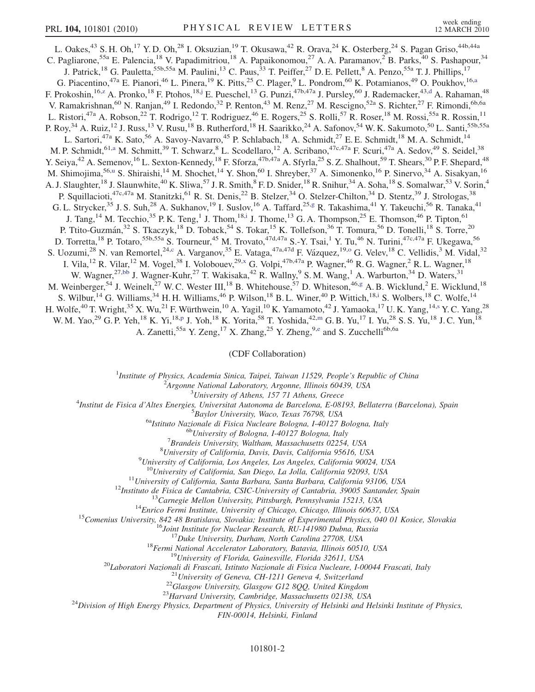<span id="page-4-7"></span><span id="page-4-4"></span><span id="page-4-0"></span>L. Oakes,<sup>43</sup> S. H. Oh,<sup>17</sup> Y. D. Oh,<sup>28</sup> I. Oksuzian,<sup>19</sup> T. Okusawa,<sup>42</sup> R. Orava,<sup>24</sup> K. Osterberg,<sup>24</sup> S. Pagan Griso,<sup>44b,44a</sup> C. Pagliarone,<sup>55a</sup> E. Palencia,<sup>18</sup> V. Papadimitriou,<sup>18</sup> A. Papaikonomou,<sup>27</sup> A. A. Paramanov,<sup>2</sup> B. Parks,<sup>40</sup> S. Pashapour,<sup>34</sup> J. Patrick,<sup>18</sup> G. Pauletta,<sup>55b,55a</sup> M. Paulini,<sup>13</sup> C. Paus,<sup>33</sup> T. Peiffer,<sup>27</sup> D. E. Pellett,<sup>8</sup> A. Penzo,<sup>55a</sup> T. J. Phillips,<sup>17</sup> G. Piacentino, <sup>47a</sup> E. Pianori, <sup>46</sup> L. Pinera, <sup>19</sup> K. Pitts, <sup>25</sup> C. Plager, <sup>9</sup> L. Pondrom, <sup>60</sup> K. Potamianos, <sup>49</sup> O. Poukhov, <sup>16[,a](#page-9-20)</sup> F. Prokoshin, <sup>16,[z](#page-9-21)</sup> A. Pronko, <sup>18</sup> F. Ptohos, <sup>18[,j](#page-9-22)</sup> E. Pueschel, <sup>13</sup> G. Punzi, <sup>47b, 47a</sup> J. Pursley, <sup>60</sup> J. Ra[d](#page-9-10)emacker, <sup>43,d</sup> A. Rahaman, <sup>48</sup> V. Ramakrishnan,<sup>60</sup> N. Ranjan,<sup>49</sup> I. Redondo,<sup>32</sup> P. Renton,<sup>43</sup> M. Renz,<sup>27</sup> M. Rescigno,<sup>52a</sup> S. Richter,<sup>27</sup> F. Rimondi,<sup>6b,6a</sup> L. Ristori,<sup>47a</sup> A. Robson,<sup>22</sup> T. Rodrigo,<sup>12</sup> T. Rodriguez,<sup>46</sup> E. Rogers,<sup>25</sup> S. Rolli,<sup>57</sup> R. Roser,<sup>18</sup> M. Rossi,<sup>55a</sup> R. Rossin,<sup>11</sup> P. Roy,<sup>34</sup> A. Ruiz,<sup>12</sup> J. Russ,<sup>13</sup> V. Rusu,<sup>18</sup> B. Rutherford,<sup>18</sup> H. Saarikko,<sup>24</sup> A. Safonov,<sup>54</sup> W. K. Sakumoto,<sup>50</sup> L. Santi,<sup>55b,55a</sup> L. Sartori,<sup>47a</sup> K. Sato,<sup>56</sup> A. Savoy-Navarro,<sup>45</sup> P. Schlabach,<sup>18</sup> A. Schmidt,<sup>27</sup> E. E. Schmidt,<sup>18</sup> M. A. Schmidt,<sup>14</sup> M. P. Schmidt,<sup>61,[a](#page-9-20)</sup> M. Schmitt,<sup>39</sup> T. Schwarz,<sup>8</sup> L. Scodellaro,<sup>12</sup> A. Scribano,<sup>47c,47a</sup> F. Scuri,<sup>47a</sup> A. Sedov,<sup>49</sup> S. Seidel,<sup>38</sup> Y. Seiya,<sup>42</sup> A. Semenov,<sup>16</sup> L. Sexton-Kennedy,<sup>18</sup> F. Sforza,<sup>47b,47a</sup> A. Sfyrla,<sup>25</sup> S. Z. Shalhout,<sup>59</sup> T. Shears,<sup>30</sup> P. F. Shepard,<sup>48</sup> M. Shimojima,<s[u](#page-9-23)p>56,u</sup> S. Shiraishi,<sup>14</sup> M. Shochet,<sup>14</sup> Y. Shon,<sup>60</sup> I. Shreyber,<sup>37</sup> A. Simonenko,<sup>16</sup> P. Sinervo,<sup>34</sup> A. Sisakyan,<sup>16</sup> A. J. Slaughter,<sup>18</sup> J. Slaunwhite,<sup>40</sup> K. Sliwa,<sup>57</sup> J. R. Smith,<sup>8</sup> F. D. Snider,<sup>18</sup> R. Snihur,<sup>34</sup> A. Soha,<sup>18</sup> S. Somalwar,<sup>53</sup> V. Sorin,<sup>4</sup> P. Squillacioti,<sup>47c,47a</sup> M. Stanitzki,<sup>61</sup> R. St. Denis,<sup>22</sup> B. Stelzer,<sup>34</sup> O. Stelzer-Chilton,<sup>34</sup> D. Stentz,<sup>39</sup> J. Strologas,<sup>38</sup> G. L. Strycker,<sup>35</sup> J. S. Suh,<sup>28</sup> A. Sukhanov,<sup>19</sup> I. Suslov,<sup>16</sup> A. Taffard,<sup>25[,g](#page-9-7)</sup> R. Takashima,<sup>41</sup> Y. Takeuchi,<sup>56</sup> R. Tanaka,<sup>41</sup> J. Tang,<sup>14</sup> M. Tecchio,<sup>35</sup> P.K. Teng,<sup>1</sup> J. Thom,<sup>18[,i](#page-9-24)</sup> J. Thome,<sup>13</sup> G.A. Thompson,<sup>25</sup> E. Thomson,<sup>46</sup> P. Tipton,<sup>61</sup> P. Ttito-Guzmán,<sup>32</sup> S. Tkaczyk,<sup>18</sup> D. Toback,<sup>54</sup> S. Tokar,<sup>15</sup> K. Tollefson,<sup>36</sup> T. Tomura,<sup>56</sup> D. Tonelli,<sup>18</sup> S. Torre,<sup>20</sup> D. Torretta,<sup>18</sup> P. Totaro,<sup>55b,55a</sup> S. Tourneur,<sup>45</sup> M. Trovato,<sup>47d,47a</sup> S.-Y. Tsai,<sup>1</sup> Y. Tu,<sup>46</sup> N. Turini,<sup>47c,47a</sup> F. Ukegawa,<sup>56</sup> S. Uozumi,<sup>28</sup> N. van Remortel,<sup>24,[c](#page-9-25)</sup> A. Varganov,<sup>35</sup> E. Vataga,<sup>47a,47d</sup> F. Vázquez,<sup>19[,o](#page-9-4)</sup> G. Velev,<sup>18</sup> C. Vellidis,<sup>3</sup> M. Vidal,<sup>32</sup> I. Vila,<sup>12</sup> R. Vilar,<sup>12</sup> M. Vogel,<sup>38</sup> I. Volobouev,<sup>29[,x](#page-9-14)</sup> G. Volpi,<sup>47b,47a</sup> P. Wagner,<sup>46</sup> R. G. Wagner,<sup>2</sup> R. L. Wagner,<sup>18</sup> W. Wagner,<sup>27[,bb](#page-9-26)</sup> J. Wagner-Kuhr,<sup>27</sup> T. Wakisaka,<sup>42</sup> R. Wallny,<sup>9</sup> S. M. Wang,<sup>1</sup> A. Warburton,<sup>34</sup> D. Waters,<sup>31</sup> M. Weinberger,<sup>54</sup> J. Weinelt,<sup>27</sup> W. C. Wester III,<sup>18</sup> B. Whitehouse,<sup>57</sup> D. Whiteson,<sup>46[,g](#page-9-7)</sup> A. B. Wicklund,<sup>2</sup> E. Wicklund,<sup>18</sup> S. Wilbur, <sup>14</sup> G. Williams, <sup>34</sup> H. H. Williams, <sup>46</sup> P. Wilson, <sup>18</sup> B. L. Winer, <sup>40</sup> P. Wittich, <sup>18[,i](#page-9-24)</sup> S. Wolbers, <sup>18</sup> C. Wolfe, <sup>14</sup> H. Wolfe, <sup>40</sup> T. Wright, <sup>35</sup> X. Wu,<sup>21</sup> F. Würthwein, <sup>10</sup> A. Yagil, <sup>10</sup> K. Yamamoto, <sup>42</sup> J. Yamaoka, <sup>17</sup> U. K. Yang, <sup>14[,s](#page-9-27)</sup> Y. C. Yang, <sup>28</sup> W. M. Yao,<sup>29</sup> G. P. Yeh,<sup>18</sup> K. Yi,<sup>18[,p](#page-9-6)</sup> J. Yoh,<sup>18</sup> K. Yorita,<sup>58</sup> T. Yoshida,<sup>42[,m](#page-9-28)</sup> G. B. Yu,<sup>17</sup> I. Yu,<sup>28</sup> S. S. Yu,<sup>18</sup> J. C. Yun,<sup>18</sup> A. Zanetti,<sup>55a</sup> Y. Zeng,<sup>17</sup> X. Zhang,<sup>25</sup> Y. Zheng,<sup>9[,e](#page-9-29)</sup> and S. Zucchelli<sup>6b,6a</sup>

(CDF Collaboration)

<span id="page-4-8"></span><span id="page-4-1"></span><sup>1</sup>Institute of Physics, Academia Sinica, Taipei, Taiwan 11529, People's Republic of China

 $A$ rgonne National Laboratory, Argonne, Illinois 60439, USA<br> $3$ University of Athens, 157 71 Athens, Greece

<span id="page-4-6"></span><span id="page-4-5"></span><span id="page-4-3"></span><span id="page-4-2"></span><sup>3</sup>University of Athens, 157 71 Athens, Greece<sup>3</sup> Theories *Lyniversity* of Athens, 157 71 Athens, Greece<sup>4</sup>

Institut de Fisica d'Altes Energies, Universitat Autonoma de Barcelona, E-08193, Bellaterra (Barcelona), Spain<br><sup>5</sup> Baylar University Wase Texas 76708, USA

 $^{5}$ Baylor University, Waco, Texas 76798, USA<br><sup>6a</sup>Istituto Nazionale di Fisica Nucleare Bologna, I-40127 Bologna, Italy <sup>6b</sup>University of Bologna, I-40127 Bologna, Italy

 ${}^{7}$ Brandeis University, Waltham, Massachusetts 02254, USA  ${}^{8}$ University of California, Davis, Davis, California 95616, USA

<sup>8</sup>University of California, Davis, Davis, California 95616, USA<br><sup>9</sup>University of California, Los Angeles, Los Angeles, California 90024, USA

 $^{10}$ University of California, San Diego, La Jolla, California 92093, USA<br>  $^{11}$ University of California, Santa Barbara, Santa Barbara, California 93106, USA<br>  $^{12}$ Institute de Eisica de Cantabria, CSIC-University of C

FIN-00014, Helsinki, Finland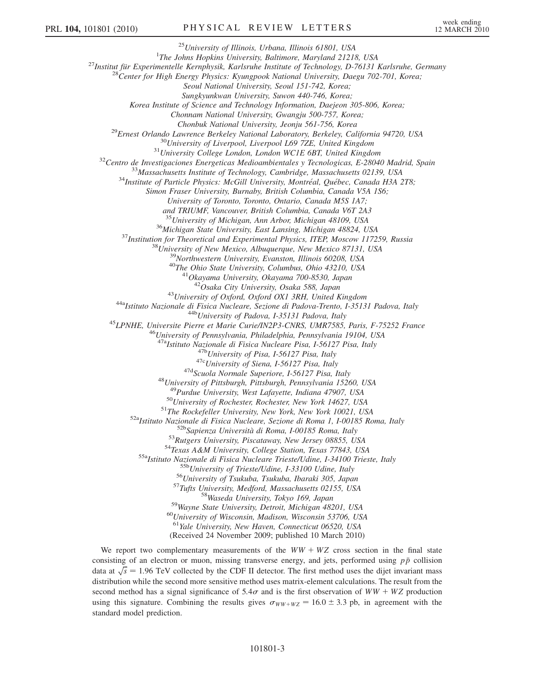<sup>25</sup>University of Illinois, Urbana, Illinois 61801, USA<br><sup>1</sup>The Johns Hopkins University, Baltimore, Maryland 21218, USA <sup>27</sup>Institut für Experimentelle Kernphysik, Karlsruhe Institute of Technology, D-76131 Karlsruhe, Germany<br><sup>28</sup>Center for High Energy Physics: Kyungpook National University, Daegu 702-701, Korea; Seoul National University, Seoul 151-742, Korea; Sungkyunkwan University, Suwon 440-746, Korea; Korea Institute of Science and Technology Information, Daejeon 305-806, Korea; Chonnam National University, Gwangju 500-757, Korea; Chonbuk National University, Jeonju 561-756, Korea<br><sup>29</sup>Ernest Orlando Lawrence Berkeley National Laboratory, Berkeley, California 94720, USA<br><sup>30</sup>University of Liverpool, Liverpool L69 7ZE, United Kingdom<br><sup>31</sup>University Col Simon Fraser University, Burnaby, British Columbia, Canada V5A 1S6; University of Toronto, Toronto, Ontario, Canada M5S 1A7; and TRIUMF, Vancouver, British Columbia, Canada V6T 2A3 <sup>35</sup> University of Michigan, Ann Arbor, Michigan 48109, USA<br><sup>36</sup> Michigan State University, East Lansing, Michigan 48824, USA<br><sup>37</sup> Institution for Theoretical and Experimental Physics, ITEP, Moscow 117259, Russia<br><sup>38</sup> Uni <sup>43</sup>University of Oxford, Oxford OX1 3RH, United Kingdom<br><sup>44a</sup>Istituto Nazionale di Fisica Nucleare, Sezione di Padova-Trento, I-35131 Padova, Italy<br><sup>44b</sup>University of Padova, I-35131 Padova, Italy<br><sup>45</sup>LPNHE, Universite P <sup>47a</sup>Istituto Nazionale di Fisica Nucleare Pisa, I-56127 Pisa, Italy<br><sup>47b</sup>University of Pisa, I-56127 Pisa, Italy<br><sup>47c</sup>University of Siena, I-56127 Pisa, Italy<br><sup>47d</sup>Scuola Normale Superiore, I-56127 Pisa, Italy<br><sup>48</sup>Univer <sup>49</sup>Purdue University, West Lafayette, Indiana 47907, USA<br><sup>50</sup>University of Rochester, Rochester, New York 14627, USA<br><sup>51</sup>The Rockefeller University, New York, New York 10021, USA<br><sup>52</sup>Alstituto Nazionale di Fisica Nuclear  $^{60}$ University of Wisconsin, Madison, Wisconsin 53706, USA<br> $^{61}$ Yale University, New Haven, Connecticut 06520, USA (Received 24 November 2009; published 10 March 2010)

We report two complementary measurements of the  $WW + WZ$  cross section in the final state consisting of an electron or muon, missing transverse energy, and jets, performed using  $p\bar{p}$  collision data at  $\sqrt{s}$  = 1.96 TeV collected by the CDF II detector. The first method uses the dijet invariant mass distribution while the second more sensitive method uses matrix-element calculations. The result from the second method has a signal significance of 5.4 $\sigma$  and is the first observation of WW + WZ production using this signature. Combining the results gives  $\sigma_{WW+WZ} = 16.0 \pm 3.3$  pb, in agreement with the standard model prediction.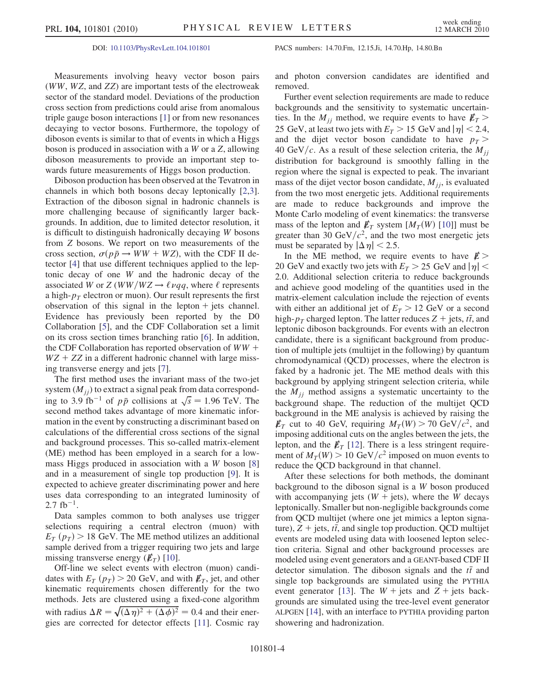Measurements involving heavy vector boson pairs (WW, WZ, and ZZ) are important tests of the electroweak sector of the standard model. Deviations of the production cross section from predictions could arise from anomalous triple gauge boson interactions [\[1\]](#page-9-30) or from new resonances decaying to vector bosons. Furthermore, the topology of diboson events is similar to that of events in which a Higgs boson is produced in association with a W or a Z, allowing diboson measurements to provide an important step towards future measurements of Higgs boson production.

Diboson production has been observed at the Tevatron in channels in which both bosons decay leptonically [[2](#page-9-31),[3\]](#page-9-32). Extraction of the diboson signal in hadronic channels is more challenging because of significantly larger backgrounds. In addition, due to limited detector resolution, it is difficult to distinguish hadronically decaying W bosons from Z bosons. We report on two measurements of the cross section,  $\sigma(p\bar{p} \rightarrow WW + WZ)$ , with the CDF II detector [[4\]](#page-9-33) that use different techniques applied to the leptonic decay of one W and the hadronic decay of the associated W or Z (WW/WZ  $\rightarrow \ell \nu qq$ , where  $\ell$  represents a high- $p_T$  electron or muon). Our result represents the first observation of this signal in the lepton  $+$  jets channel. Evidence has previously been reported by the D0 Collaboration [[5](#page-9-34)], and the CDF Collaboration set a limit on its cross section times branching ratio [[6\]](#page-9-35). In addition, the CDF Collaboration has reported observation of  $WW +$  $WZ + ZZ$  in a different hadronic channel with large missing transverse energy and jets [\[7\]](#page-9-36).

The first method uses the invariant mass of the two-jet system  $(M_{ij})$  to extract a signal peak from data corresponding to 3.9 fb<sup>-1</sup> of  $p\bar{p}$  collisions at  $\sqrt{s}$  = 1.96 TeV. The second method takes advantage of more kinematic information in the event by constructing a discriminant based on calculations of the differential cross sections of the signal and background processes. This so-called matrix-element (ME) method has been employed in a search for a lowmass Higgs produced in association with a W boson [\[8\]](#page-9-37) and in a measurement of single top production [\[9](#page-9-38)]. It is expected to achieve greater discriminating power and here uses data corresponding to an integrated luminosity of  $2.7 \text{ fb}^{-1}$ .

Data samples common to both analyses use trigger selections requiring a central electron (muon) with  $E_T$  ( $p_T$ ) > 18 GeV. The ME method utilizes an additional sample derived from a trigger requiring two jets and large missing transverse energy  $(\not\hspace{-.15cm}E_T)$  [[10](#page-9-39)].

Off-line we select events with electron (muon) candidates with  $E_T(p_T) > 20$  GeV, and with  $E_T$ , jet, and other kinematic requirements chosen differently for the two methods. Jets are clustered using a fixed-cone algorithm with radius  $\Delta R = \sqrt{(\Delta \eta)^2 + (\Delta \phi)^2} = 0.4$  and their energies are corrected for detector effects [[11](#page-10-0)]. Cosmic ray

DOI: [10.1103/PhysRevLett.104.101801](http://dx.doi.org/10.1103/PhysRevLett.104.101801) PACS numbers: 14.70.Fm, 12.15.Ji, 14.70.Hp, 14.80.Bn

and photon conversion candidates are identified and removed.

Further event selection requirements are made to reduce backgrounds and the sensitivity to systematic uncertainties. In the  $M_{ij}$  method, we require events to have  $E_T >$ 25 GeV, at least two jets with  $E_T > 15$  GeV and  $|\eta| < 2.4$ , and the dijet vector boson candidate to have  $p_T$ 40 GeV/c. As a result of these selection criteria, the  $M_{ij}$ distribution for background is smoothly falling in the region where the signal is expected to peak. The invariant mass of the dijet vector boson candidate,  $M_{ij}$ , is evaluated from the two most energetic jets. Additional requirements are made to reduce backgrounds and improve the Monte Carlo modeling of event kinematics: the transverse mass of the lepton and  $\not{\!\mathit{E}}_T$  system  $[M_T(W)[10]]$  $[M_T(W)[10]]$  $[M_T(W)[10]]$  must be greater than 30 GeV/ $c^2$ , and the two most energetic jets must be separated by  $|\Delta \eta|$  < 2.5.

In the ME method, we require events to have  $E \geq$ 20 GeV and exactly two jets with  $E_T > 25$  GeV and  $|\eta|$  < 2:0. Additional selection criteria to reduce backgrounds and achieve good modeling of the quantities used in the matrix-element calculation include the rejection of events with either an additional jet of  $E_T > 12$  GeV or a second high- $p_T$  charged lepton. The latter reduces  $Z + \text{jets}, t\bar{t}$ , and leptonic diboson backgrounds. For events with an electron candidate, there is a significant background from production of multiple jets (multijet in the following) by quantum chromodynamical (QCD) processes, where the electron is faked by a hadronic jet. The ME method deals with this background by applying stringent selection criteria, while the  $M_{ij}$  method assigns a systematic uncertainty to the background shape. The reduction of the multijet QCD background in the ME analysis is achieved by raising the  $\n *E*<sub>T</sub>$  cut to 40 GeV, requiring  $M_T(W) > 70$  GeV/ $c^2$ , and imposing additional cuts on the angles between the jets, the lepton, and the  $E_T$  [\[12\]](#page-10-1). There is a less stringent requirement of  $M_T(W) > 10$  GeV/ $c^2$  imposed on muon events to reduce the QCD background in that channel.

After these selections for both methods, the dominant background to the diboson signal is a W boson produced with accompanying jets  $(W + \text{jets})$ , where the W decays leptonically. Smaller but non-negligible backgrounds come from QCD multijet (where one jet mimics a lepton signature),  $Z + \text{jets}, t\bar{t}$ , and single top production. QCD multijet events are modeled using data with loosened lepton selection criteria. Signal and other background processes are modeled using event generators and a GEANT-based CDF II detector simulation. The diboson signals and the  $t\bar{t}$  and single top backgrounds are simulated using the PYTHIA event generator [[13](#page-10-2)]. The  $W + \text{jets}$  and  $Z + \text{jets}$  backgrounds are simulated using the tree-level event generator ALPGEN [[14](#page-10-3)], with an interface to PYTHIA providing parton showering and hadronization.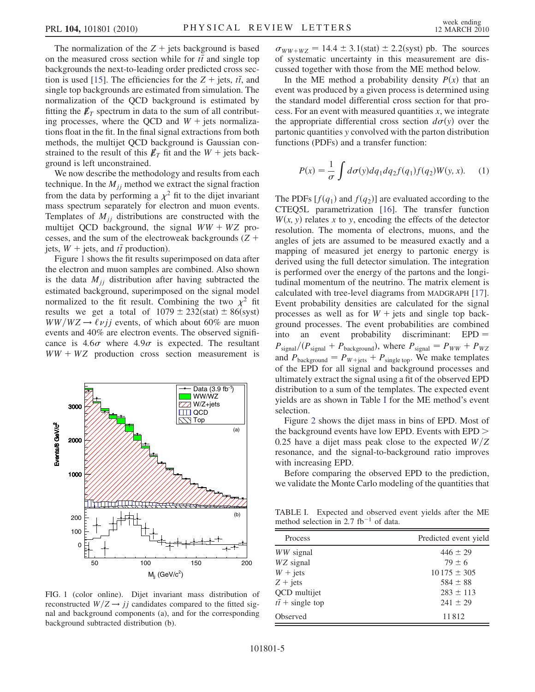The normalization of the  $Z +$  jets background is based on the measured cross section while for  $t\bar{t}$  and single top backgrounds the next-to-leading order predicted cross sec-tion is used [\[15\]](#page-10-4). The efficiencies for the  $Z + \text{jets}, t\bar{t}$ , and single top backgrounds are estimated from simulation. The normalization of the QCD background is estimated by fitting the  $\not{\!\not\!E}_T$  spectrum in data to the sum of all contributing processes, where the QCD and  $W +$  jets normalizations float in the fit. In the final signal extractions from both methods, the multijet QCD background is Gaussian constrained to the result of this  $\not\!\!\!E_T$  fit and the  $W$  + jets background is left unconstrained.

We now describe the methodology and results from each technique. In the  $M_{jj}$  method we extract the signal fraction from the data by performing a  $\chi^2$  fit to the dijet invariant mass spectrum separately for electron and muon events. Templates of  $M_{ij}$  distributions are constructed with the multijet QCD background, the signal  $WW + WZ$  processes, and the sum of the electroweak backgrounds  $(Z +$ jets,  $W$  + jets, and  $t\bar{t}$  production).

Figure [1](#page-7-0) shows the fit results superimposed on data after the electron and muon samples are combined. Also shown is the data  $M_{ij}$  distribution after having subtracted the estimated background, superimposed on the signal model normalized to the fit result. Combining the two  $\chi^2$  fit results we get a total of  $1079 \pm 232 \text{(stat)} \pm 86 \text{(syst)}$  $WW/WZ \rightarrow \ell \nu jj$  events, of which about 60% are muon events and 40% are electron events. The observed significance is  $4.6\sigma$  where  $4.9\sigma$  is expected. The resultant  $WW + WZ$  production cross section measurement is

<span id="page-7-0"></span>

FIG. 1 (color online). Dijet invariant mass distribution of reconstructed  $W/Z \rightarrow i j$  candidates compared to the fitted signal and background components (a), and for the corresponding background subtracted distribution (b).

 $\sigma_{WW+WZ}$  = 14.4  $\pm$  3.1(stat)  $\pm$  2.2(syst) pb. The sources of systematic uncertainty in this measurement are discussed together with those from the ME method below.

In the ME method a probability density  $P(x)$  that an event was produced by a given process is determined using the standard model differential cross section for that process. For an event with measured quantities  $x$ , we integrate the appropriate differential cross section  $d\sigma(y)$  over the partonic quantities y convolved with the parton distribution functions (PDFs) and a transfer function:

$$
P(x) = \frac{1}{\sigma} \int d\sigma(y) dq_1 dq_2 f(q_1) f(q_2) W(y, x).
$$
 (1)

The PDFs  $[f(q_1)$  and  $f(q_2)]$  are evaluated according to the CTEQ5L parametrization [\[16\]](#page-10-5). The transfer function  $W(x, y)$  relates x to y, encoding the effects of the detector resolution. The momenta of electrons, muons, and the angles of jets are assumed to be measured exactly and a mapping of measured jet energy to partonic energy is derived using the full detector simulation. The integration is performed over the energy of the partons and the longitudinal momentum of the neutrino. The matrix element is calculated with tree-level diagrams from MADGRAPH [[17\]](#page-10-6). Event probability densities are calculated for the signal processes as well as for  $W +$  jets and single top background processes. The event probabilities are combined into an event probability discriminant:  $EPD =$  $P_{\text{signal}}/(P_{\text{signal}}+P_{\text{background}})$ , where  $P_{\text{signal}} = P_{WW} + P_{WZ}$ and  $P_{\text{background}} = P_{W+\text{jets}} + P_{\text{single top}}$ . We make templates of the EPD for all signal and background processes and ultimately extract the signal using a fit of the observed EPD distribution to a sum of the templates. The expected event yields are as shown in Table [I](#page-7-1) for the ME method's event selection.

Figure [2](#page-8-0) shows the dijet mass in bins of EPD. Most of the background events have low EPD. Events with EPD > 0.25 have a dijet mass peak close to the expected  $W/Z$ resonance, and the signal-to-background ratio improves with increasing EPD.

Before comparing the observed EPD to the prediction, we validate the Monte Carlo modeling of the quantities that

<span id="page-7-1"></span>TABLE I. Expected and observed event yields after the ME method selection in 2.7  $fb^{-1}$  of data.

| Process                 | Predicted event yield |
|-------------------------|-----------------------|
| WW signal               | $446 \pm 29$          |
| WZ signal               | $79 + 6$              |
| $W + \text{jets}$       | $10175 \pm 305$       |
| $Z + jets$              | $584 \pm 88$          |
| QCD multijet            | $283 \pm 113$         |
| $t\bar{t}$ + single top | $241 \pm 29$          |
| Observed                | 11812                 |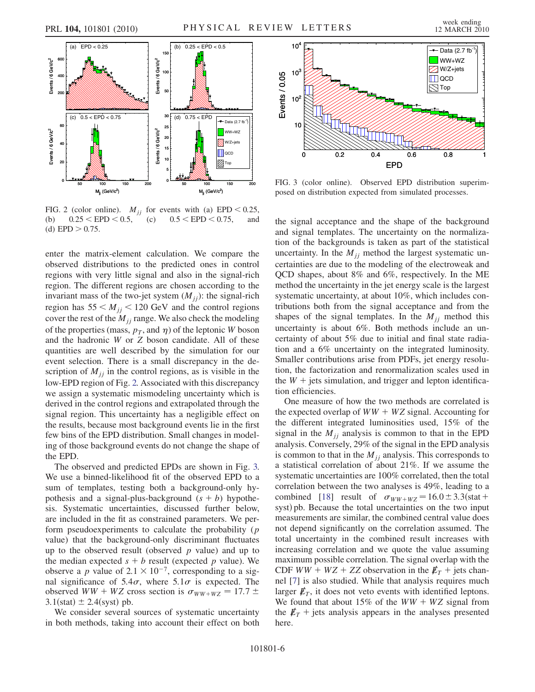<span id="page-8-0"></span>

FIG. 2 (color online).  $M_{ij}$  for events with (a) EPD < 0.25, (b)  $0.25 < EPD < 0.5$ , (c)  $0.5 < EPD < 0.75$ , and (d) EPD  $> 0.75$ .

enter the matrix-element calculation. We compare the observed distributions to the predicted ones in control regions with very little signal and also in the signal-rich region. The different regions are chosen according to the invariant mass of the two-jet system  $(M_{ij})$ : the signal-rich region has  $55 \leq M_{ij} \leq 120$  GeV and the control regions cover the rest of the  $M_{ij}$  range. We also check the modeling of the properties (mass,  $p_T$ , and  $\eta$ ) of the leptonic W boson and the hadronic W or Z boson candidate. All of these quantities are well described by the simulation for our event selection. There is a small discrepancy in the description of  $M_{ij}$  in the control regions, as is visible in the low-EPD region of Fig. [2.](#page-8-0) Associated with this discrepancy we assign a systematic mismodeling uncertainty which is derived in the control regions and extrapolated through the signal region. This uncertainty has a negligible effect on the results, because most background events lie in the first few bins of the EPD distribution. Small changes in modeling of those background events do not change the shape of the EPD.

The observed and predicted EPDs are shown in Fig. [3.](#page-8-1) We use a binned-likelihood fit of the observed EPD to a sum of templates, testing both a background-only hypothesis and a signal-plus-background  $(s + b)$  hypothesis. Systematic uncertainties, discussed further below, are included in the fit as constrained parameters. We perform pseudoexperiments to calculate the probability  $(p)$ value) that the background-only discriminant fluctuates up to the observed result (observed  $p$  value) and up to the median expected  $s + b$  result (expected p value). We observe a p value of  $2.1 \times 10^{-7}$ , corresponding to a signal significance of  $5.4\sigma$ , where  $5.1\sigma$  is expected. The observed WW + WZ cross section is  $\sigma_{WW+WZ} = 17.7 \pm$  $3.1$ (stat)  $\pm 2.4$ (syst) pb.

We consider several sources of systematic uncertainty in both methods, taking into account their effect on both

<span id="page-8-1"></span>

FIG. 3 (color online). Observed EPD distribution superimposed on distribution expected from simulated processes.

the signal acceptance and the shape of the background and signal templates. The uncertainty on the normalization of the backgrounds is taken as part of the statistical uncertainty. In the  $M_{ij}$  method the largest systematic uncertainties are due to the modeling of the electroweak and QCD shapes, about 8% and 6%, respectively. In the ME method the uncertainty in the jet energy scale is the largest systematic uncertainty, at about 10%, which includes contributions both from the signal acceptance and from the shapes of the signal templates. In the  $M_{ij}$  method this uncertainty is about 6%. Both methods include an uncertainty of about 5% due to initial and final state radiation and a 6% uncertainty on the integrated luminosity. Smaller contributions arise from PDFs, jet energy resolution, the factorization and renormalization scales used in the  $W +$  jets simulation, and trigger and lepton identification efficiencies.

One measure of how the two methods are correlated is the expected overlap of  $WW + WZ$  signal. Accounting for the different integrated luminosities used, 15% of the signal in the  $M_{ij}$  analysis is common to that in the EPD analysis. Conversely, 29% of the signal in the EPD analysis is common to that in the  $M_{ij}$  analysis. This corresponds to a statistical correlation of about 21%. If we assume the systematic uncertainties are 100% correlated, then the total correlation between the two analyses is 49%, leading to a combined [\[18\]](#page-10-7) result of  $\sigma_{WW+WZ} = 16.0 \pm 3.3$  (stat + syst) pb. Because the total uncertainties on the two input measurements are similar, the combined central value does not depend significantly on the correlation assumed. The total uncertainty in the combined result increases with increasing correlation and we quote the value assuming maximum possible correlation. The signal overlap with the CDF WW + WZ + ZZ observation in the  $E_T$  + jets channel [[7\]](#page-9-36) is also studied. While that analysis requires much larger  $\not{E}_T$ , it does not veto events with identified leptons. We found that about 15% of the  $WW + WZ$  signal from the  $\not{\!\mathbb{E}}_T$  + jets analysis appears in the analyses presented here.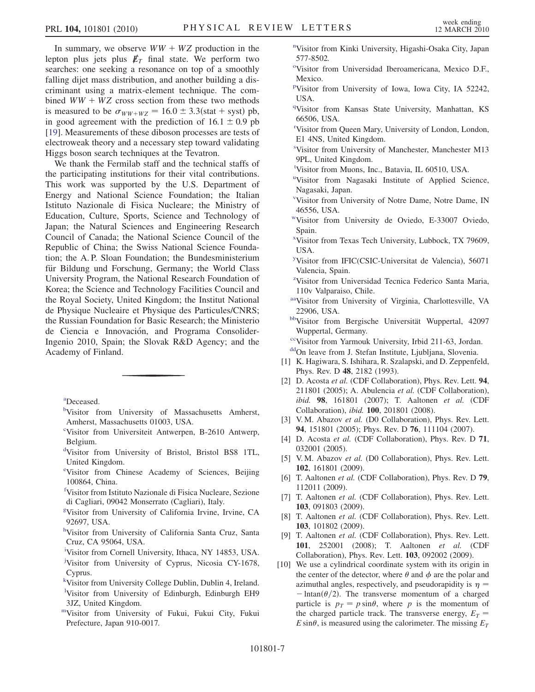In summary, we observe  $WW + WZ$  production in the lepton plus jets plus  $E_T$  final state. We perform two searches: one seeking a resonance on top of a smoothly falling dijet mass distribution, and another building a discriminant using a matrix-element technique. The combined  $WW + WZ$  cross section from these two methods is measured to be  $\sigma_{WW+WZ} = 16.0 \pm 3.3$ (stat + syst) pb, in good agreement with the prediction of  $16.1 \pm 0.9$  pb [\[19\]](#page-10-8). Measurements of these diboson processes are tests of electroweak theory and a necessary step toward validating Higgs boson search techniques at the Tevatron.

We thank the Fermilab staff and the technical staffs of the participating institutions for their vital contributions. This work was supported by the U.S. Department of Energy and National Science Foundation; the Italian Istituto Nazionale di Fisica Nucleare; the Ministry of Education, Culture, Sports, Science and Technology of Japan; the Natural Sciences and Engineering Research Council of Canada; the National Science Council of the Republic of China; the Swiss National Science Foundation; the A. P. Sloan Foundation; the Bundesministerium für Bildung und Forschung, Germany; the World Class University Program, the National Research Foundation of Korea; the Science and Technology Facilities Council and the Royal Society, United Kingdom; the Institut National de Physique Nucleaire et Physique des Particules/CNRS; the Russian Foundation for Basic Research; the Ministerio de Ciencia e Innovación, and Programa Consolider-Ingenio 2010, Spain; the Slovak R&D Agency; and the Academy of Finland.

<span id="page-9-20"></span><span id="page-9-2"></span>[a](#page-4-0) Deceased.

- <span id="page-9-25"></span>[b](#page-3-0)Visitor from University of Massachusetts Amherst, Amherst, Massachusetts 01003, USA.
- <span id="page-9-10"></span>[c](#page-4-1) Visitor from Universiteit Antwerpen, B-2610 Antwerp, Belgium.
- <span id="page-9-29"></span>[d](#page-3-1) Visitor from University of Bristol, Bristol BS8 1TL, United Kingdom.
- <span id="page-9-15"></span>[e](#page-4-2) Visitor from Chinese Academy of Sciences, Beijing 100864, China.
- <span id="page-9-7"></span>[f](#page-3-2) Visitor from Istituto Nazionale di Fisica Nucleare, Sezione di Cagliari, 09042 Monserrato (Cagliari), Italy.
- <span id="page-9-19"></span>[g](#page-3-3) Visitor from University of California Irvine, Irvine, CA 92697, USA.
- <span id="page-9-24"></span>[h](#page-3-4) Visitor from University of California Santa Cruz, Santa Cruz, CA 95064, USA.
- <span id="page-9-22"></span>[i](#page-4-3) Visitor from Cornell University, Ithaca, NY 14853, USA.
- <span id="page-9-17"></span>[j](#page-4-4) Visitor from University of Cyprus, Nicosia CY-1678, Cyprus.
- <span id="page-9-16"></span>[k](#page-3-5) Visitor from University College Dublin, Dublin 4, Ireland.
- <span id="page-9-28"></span>[l](#page-3-6) Visitor from University of Edinburgh, Edinburgh EH9 3JZ, United Kingdom.
- [mV](#page-4-5)isitor from University of Fukui, Fukui City, Fukui Prefecture, Japan 910-0017.
- <span id="page-9-12"></span>[n](#page-3-7) Visitor from Kinki University, Higashi-Osaka City, Japan 577-8502.
- <span id="page-9-4"></span><sup>[o](#page-3-8)</sup>Visitor from Universidad Iberoamericana, Mexico D.F., Mexico.
- <span id="page-9-6"></span>[p](#page-3-9) Visitor from University of Iowa, Iowa City, IA 52242, USA.
- <span id="page-9-11"></span><sup>[q](#page-3-10)</sup>Visitor from Kansas State University, Manhattan, KS 66506, USA.
- <span id="page-9-5"></span>[r](#page-3-11) Visitor from Queen Mary, University of London, London, E1 4NS, United Kingdom.
- <span id="page-9-27"></span>[s](#page-4-6) Visitor from University of Manchester, Manchester M13 9PL, United Kingdom.
- <span id="page-9-9"></span>[t](#page-3-12) Visitor from Muons, Inc., Batavia, IL 60510, USA.
- <span id="page-9-23"></span><s[u](#page-4-7)p>u</sup>Visitor from Nagasaki Institute of Applied Science, Nagasaki, Japan.
- <span id="page-9-13"></span>[v](#page-3-13) Visitor from University of Notre Dame, Notre Dame, IN 46556, USA.
- <span id="page-9-0"></span>[wV](#page-3-14)isitor from University de Oviedo, E-33007 Oviedo, Spain.
- <span id="page-9-14"></span>[x](#page-3-15) Visitor from Texas Tech University, Lubbock, TX 79609, USA.
- <span id="page-9-3"></span>[y](#page-3-16) Visitor from IFIC(CSIC-Universitat de Valencia), 56071 Valencia, Spain.
- <span id="page-9-21"></span><sup>[z](#page-4-4)</sup>Visitor from Universidad Tecnica Federico Santa Maria, 110v Valparaiso, Chile.
- <span id="page-9-18"></span>[aaV](#page-3-4)isitor from University of Virginia, Charlottesville, VA 22906, USA.
- <span id="page-9-26"></span>[bbV](#page-4-8)isitor from Bergische Universität Wuppertal, 42097 Wuppertal, Germany.
- <span id="page-9-8"></span><span id="page-9-1"></span>[ccV](#page-3-17)isitor from Yarmouk University, Irbid 211-63, Jordan. <sup>dd</sup>On leave from J. Stefan Institute, Ljubljana, Slovenia.
- <span id="page-9-30"></span>[1] K. Hagiwara, S. Ishihara, R. Szalapski, and D. Zeppenfeld, Phys. Rev. D 48, 2182 (1993).
- <span id="page-9-31"></span>[2] D. Acosta et al. (CDF Collaboration), Phys. Rev. Lett. 94, 211801 (2005); A. Abulencia et al. (CDF Collaboration), ibid. 98, 161801 (2007); T. Aaltonen et al. (CDF Collaboration), ibid. 100, 201801 (2008).
- <span id="page-9-32"></span>[3] V. M. Abazov et al. (D0 Collaboration), Phys. Rev. Lett. 94, 151801 (2005); Phys. Rev. D 76, 111104 (2007).
- <span id="page-9-33"></span>[4] D. Acosta et al. (CDF Collaboration), Phys. Rev. D 71, 032001 (2005).
- <span id="page-9-34"></span>[5] V.M. Abazov et al. (D0 Collaboration), Phys. Rev. Lett. 102, 161801 (2009).
- <span id="page-9-35"></span>[6] T. Aaltonen et al. (CDF Collaboration), Phys. Rev. D 79, 112011 (2009).
- <span id="page-9-36"></span>[7] T. Aaltonen et al. (CDF Collaboration), Phys. Rev. Lett. 103, 091803 (2009).
- <span id="page-9-37"></span>[8] T. Aaltonen et al. (CDF Collaboration), Phys. Rev. Lett. 103, 101802 (2009).
- <span id="page-9-38"></span>[9] T. Aaltonen et al. (CDF Collaboration), Phys. Rev. Lett. 101, 252001 (2008); T. Aaltonen et al. (CDF Collaboration), Phys. Rev. Lett. 103, 092002 (2009).
- <span id="page-9-39"></span>[10] We use a cylindrical coordinate system with its origin in the center of the detector, where  $\theta$  and  $\phi$  are the polar and azimuthal angles, respectively, and pseudorapidity is  $\eta =$  $-\ln \tan(\theta/2)$ . The transverse momentum of a charged particle is  $p_T = p \sin \theta$ , where p is the momentum of the charged particle track. The transverse energy,  $E_T$  =  $E \sin\theta$ , is measured using the calorimeter. The missing  $E_T$